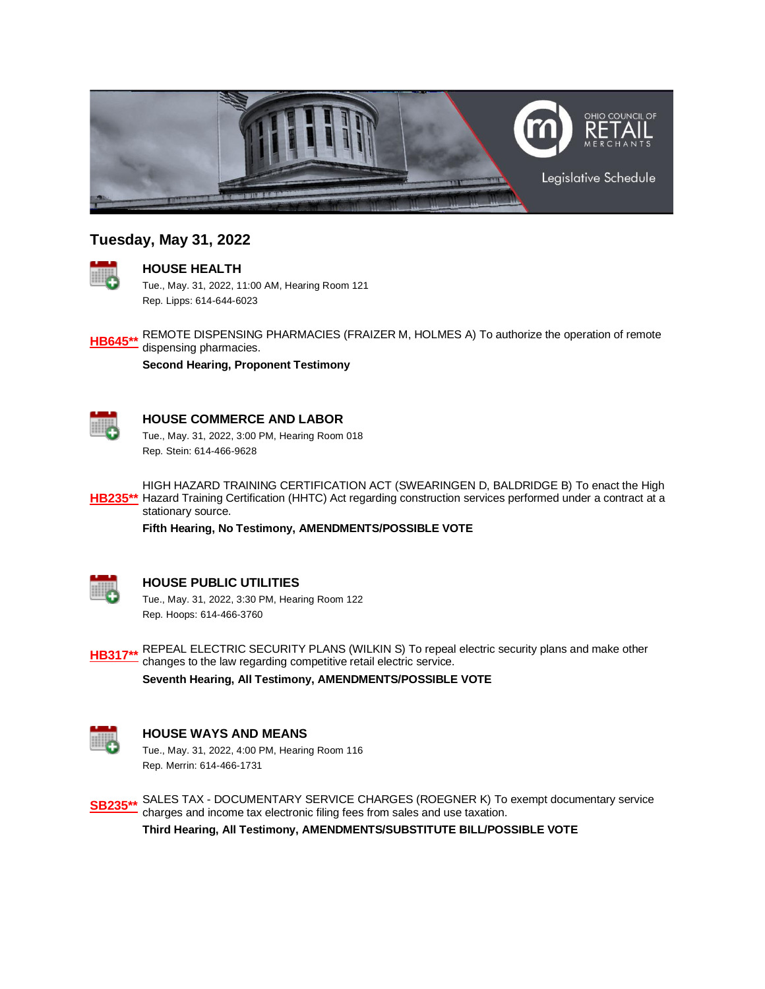

# **Tuesday, May 31, 2022**



### **HOUSE HEALTH**

Tue., May. 31, 2022, 11:00 AM, Hearing Room 121 Rep. Lipps: 614-644-6023



**Second Hearing, Proponent Testimony**



## **HOUSE COMMERCE AND LABOR**

Tue., May. 31, 2022, 3:00 PM, Hearing Room 018 Rep. Stein: 614-466-9628



**[HB235\\*\\*](https://ohiohouse.gov/legislation/134/hb235)** Hazard Training Certification (HHTC) Act regarding construction services performed under a contract at a HIGH HAZARD TRAINING CERTIFICATION ACT (SWEARINGEN D, BALDRIDGE B) To enact the High stationary source.

**Fifth Hearing, No Testimony, AMENDMENTS/POSSIBLE VOTE**



### **HOUSE PUBLIC UTILITIES**

Tue., May. 31, 2022, 3:30 PM, Hearing Room 122 Rep. Hoops: 614-466-3760



**[HB317\\*\\*](https://ohiohouse.gov/legislation/134/hb317)** REPEAL ELECTRIC SECURITY PLANS (WILKIN S) To repeal electric security plans and make other - changes to the law regarding competitive retail electric service.

**Seventh Hearing, All Testimony, AMENDMENTS/POSSIBLE VOTE**



### **HOUSE WAYS AND MEANS**

Tue., May. 31, 2022, 4:00 PM, Hearing Room 116 Rep. Merrin: 614-466-1731

**[SB235\\*\\*](https://ohiohouse.gov/legislation/134/sb235)** SALES TAX - DOCUMENTARY SERVICE CHARGES (ROEGNER K) To exempt documentary service charges and income tax electronic filing fees from sales and use taxation. **Third Hearing, All Testimony, AMENDMENTS/SUBSTITUTE BILL/POSSIBLE VOTE**